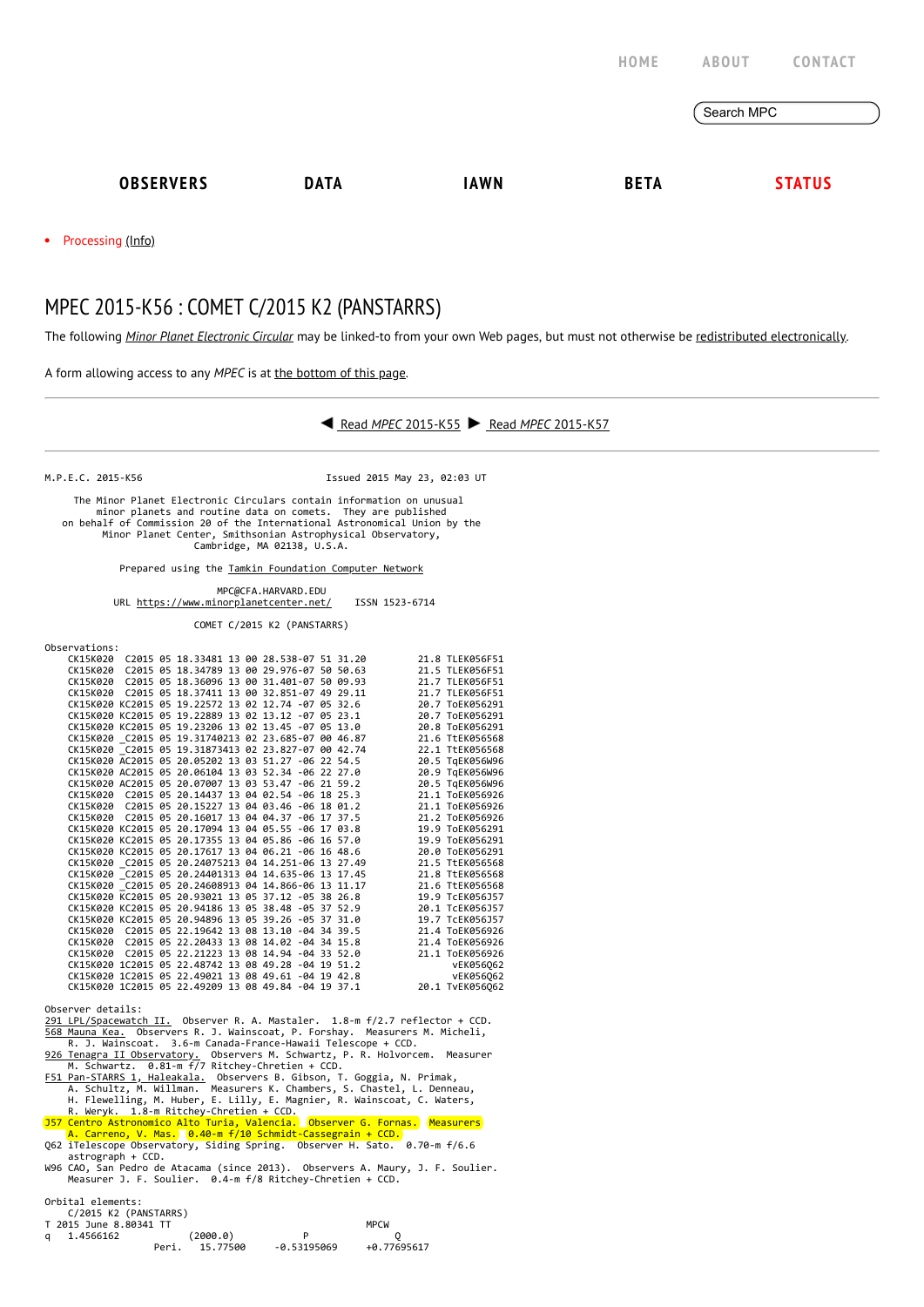|                  |             |             | HOME        | <b>ABOUT</b><br>CONTACT |
|------------------|-------------|-------------|-------------|-------------------------|
|                  |             |             |             | Search MPC              |
| <b>OBSERVERS</b> | <b>DATA</b> | <b>IAWN</b> | <b>BETA</b> | <b>STATUS</b>           |
|                  |             |             |             |                         |

• Processing [\(Info\)](https://minorplanetcenter.net/iau/info/MPCOpStatus.html)

## MPEC 2015-K56 : COMET C/2015 K2 (PANSTARRS)

The following *Minor Planet [Electronic](https://minorplanetcenter.net/iau/services/MPEC.html) Circular* may be linked-to from your own Web pages, but must not otherwise be redistributed [electronically](https://minorplanetcenter.net/iau/WWWPolicy.html).

A form allowing access to any *MPEC* is at the [bottom](https://minorplanetcenter.net/mpec/K15/K15K56.html#form) of this page.



M.P.E.C. 2015-K56 Issued 2015 May 23, 02:03 UT

 The Minor Planet Electronic Circulars contain information on unusual minor planets and routine data on comets. They are published on behalf of Commission 20 of the International Astronomical Union by the Minor Planet Center, Smithsonian Astrophysical Observatory, Cambridge, MA 02138, U.S.A.

Prepared using the [Tamkin Foundation Computer Network](https://minorplanetcenter.net/iau/Ack/TamkinFoundation.html)

MPC@CFA.HARVARD.EDU

URL<https://www.minorplanetcenter.net/>ISSN 1523-6714

COMET C/2015 K2 (PANSTARRS)

| Observations:          |                       |                                                                                                                                                                 |  |                                                                                                                                                                     |                                                                                                                                                                                                                                        |
|------------------------|-----------------------|-----------------------------------------------------------------------------------------------------------------------------------------------------------------|--|---------------------------------------------------------------------------------------------------------------------------------------------------------------------|----------------------------------------------------------------------------------------------------------------------------------------------------------------------------------------------------------------------------------------|
|                        |                       | CK15K020 C2015 05 18.33481 13 00 28.538-07 51 31.20                                                                                                             |  |                                                                                                                                                                     | 21.8 TLEK056F51                                                                                                                                                                                                                        |
|                        |                       | CK15K020 C2015 05 18.34789 13 00 29.976-07 50 50.63                                                                                                             |  |                                                                                                                                                                     | 21.5 TLEK056F51                                                                                                                                                                                                                        |
|                        |                       | CK15K020 C2015 05 18.36096 13 00 31.401-07 50 09.93                                                                                                             |  |                                                                                                                                                                     | 21.7 TLEK056F51                                                                                                                                                                                                                        |
|                        |                       | CK15K020 C2015 05 18.37411 13 00 32.851-07 49 29.11                                                                                                             |  |                                                                                                                                                                     | 21.7 TLEK056F51                                                                                                                                                                                                                        |
|                        |                       | CK15K020 KC2015 05 19.22572 13 02 12.74 -07 05 32.6                                                                                                             |  |                                                                                                                                                                     | 20.7 ToEK056291                                                                                                                                                                                                                        |
|                        |                       | CK15K020 KC2015 05 19.22889 13 02 13.12 -07 05 23.1                                                                                                             |  |                                                                                                                                                                     | 20.7 ToEK056291                                                                                                                                                                                                                        |
|                        |                       | CK15K020 KC2015 05 19.23206 13 02 13.45 -07 05 13.0                                                                                                             |  |                                                                                                                                                                     | 20.8 ToEK056291                                                                                                                                                                                                                        |
|                        |                       | CK15K020 C2015 05 19.31740213 02 23.685-07 00 46.87                                                                                                             |  |                                                                                                                                                                     | 21.6 TtEK056568                                                                                                                                                                                                                        |
|                        |                       | CK15K020 C2015 05 19.31873413 02 23.827-07 00 42.74                                                                                                             |  |                                                                                                                                                                     | 22.1 TtEK056568                                                                                                                                                                                                                        |
|                        |                       | CK15K020 AC2015 05 20.05202 13 03 51.27 -06 22 54.5                                                                                                             |  |                                                                                                                                                                     | 20.5 TgEK056W96                                                                                                                                                                                                                        |
|                        |                       | CK15K020 AC2015 05 20.06104 13 03 52.34 -06 22 27.0                                                                                                             |  |                                                                                                                                                                     | 20.9 TgEK056W96                                                                                                                                                                                                                        |
|                        |                       | CK15K020 AC2015 05 20.07007 13 03 53.47 -06 21 59.2                                                                                                             |  |                                                                                                                                                                     | 20.5 TgEK056W96                                                                                                                                                                                                                        |
|                        |                       | CK15K020 C2015 05 20.14437 13 04 02.54 -06 18 25.3                                                                                                              |  |                                                                                                                                                                     | 21.1 ToEK056926                                                                                                                                                                                                                        |
|                        |                       | CK15K020 C2015 05 20.15227 13 04 04.37 -06 17 37.5<br>CK15K020 C2015 05 20.16017 13 04 04.37 -06 17 37.5<br>CK15K020 KC2015 05 20.17094 13 04 05.55 -06 17 03.8 |  |                                                                                                                                                                     | 21.1 ToEK056926                                                                                                                                                                                                                        |
|                        |                       |                                                                                                                                                                 |  |                                                                                                                                                                     | 21.2 ToEK056926                                                                                                                                                                                                                        |
|                        |                       |                                                                                                                                                                 |  |                                                                                                                                                                     | 19.9 ToEK056291                                                                                                                                                                                                                        |
|                        |                       |                                                                                                                                                                 |  |                                                                                                                                                                     | 19.9 ToEK056291                                                                                                                                                                                                                        |
|                        |                       | CK15K020 KC2015 05 20.17617 13 04 06.21 -06 16 48.6                                                                                                             |  |                                                                                                                                                                     | 20.0 ToEK056291                                                                                                                                                                                                                        |
|                        |                       |                                                                                                                                                                 |  |                                                                                                                                                                     | 21.5 TtEK056568                                                                                                                                                                                                                        |
|                        |                       |                                                                                                                                                                 |  | CK15K020 KC2015 05 20.17617 13 04 06.21 -06 16 48.6<br>CK15K020 _C2015 05 20.24075213 04 14.251-06 13 27.49<br>CK15K020 _C2015 05 20.24401313 04 14.635-06 13 17.45 | 21.8 TtEK056568                                                                                                                                                                                                                        |
|                        |                       | CK15K020 C2015 05 20.24608913 04 14.866-06 13 11.17<br>CK15K020 KC2015 05 20.93021 13 05 37.12 -05 38 26.8                                                      |  |                                                                                                                                                                     | 21.6 TtEK056568                                                                                                                                                                                                                        |
|                        |                       |                                                                                                                                                                 |  |                                                                                                                                                                     | 19.9 TcEK056J57                                                                                                                                                                                                                        |
|                        |                       | CK15K020 KC2015 05 20.94186 13 05 38.48 -05 37 52.9                                                                                                             |  |                                                                                                                                                                     | 20.1 TCEK056J57                                                                                                                                                                                                                        |
|                        |                       |                                                                                                                                                                 |  | CK15K020 KC2015 05 20.94896 13 05 39.26 -05 37 31.0<br>CK15K020 C2015 05 20.94896 13 05 39.26 -05 37 31.0                                                           | 19.7 TcEK056J57                                                                                                                                                                                                                        |
|                        |                       |                                                                                                                                                                 |  |                                                                                                                                                                     | 21.4 ToEK056926                                                                                                                                                                                                                        |
|                        |                       |                                                                                                                                                                 |  |                                                                                                                                                                     | CK15K020 C2015 05 22.20433 13 08 14.02 -04 34 15.8<br>CK15K020 C2015 05 22.20433 13 08 14.02 -04 34 15.8<br>CK15K020 C2015 05 22.21223 13 08 14.94 -04 33 52.0<br>CK15K020 1C2015 05 22.49742 13 08 49.28 -04 19 51.2<br>CK15K020 1C20 |
|                        |                       |                                                                                                                                                                 |  |                                                                                                                                                                     |                                                                                                                                                                                                                                        |
|                        |                       |                                                                                                                                                                 |  |                                                                                                                                                                     |                                                                                                                                                                                                                                        |
|                        |                       |                                                                                                                                                                 |  |                                                                                                                                                                     |                                                                                                                                                                                                                                        |
|                        |                       |                                                                                                                                                                 |  |                                                                                                                                                                     |                                                                                                                                                                                                                                        |
|                        |                       |                                                                                                                                                                 |  |                                                                                                                                                                     |                                                                                                                                                                                                                                        |
| Observer details:      |                       |                                                                                                                                                                 |  |                                                                                                                                                                     |                                                                                                                                                                                                                                        |
|                        |                       |                                                                                                                                                                 |  | 291 LPL/Spacewatch II. Observer R. A. Mastaler. 1.8-m f/2.7 reflector + CCD.                                                                                        |                                                                                                                                                                                                                                        |
|                        |                       |                                                                                                                                                                 |  | 568 Mauna Kea. Observers R. J. Wainscoat, P. Forshay. Measurers M. Micheli,                                                                                         |                                                                                                                                                                                                                                        |
|                        |                       |                                                                                                                                                                 |  | R. J. Wainscoat. 3.6-m Canada-France-Hawaii Telescope + CCD.                                                                                                        |                                                                                                                                                                                                                                        |
|                        |                       |                                                                                                                                                                 |  | 926 Tenagra II Observatory. Observers M. Schwartz, P. R. Holvorcem. Measurer                                                                                        |                                                                                                                                                                                                                                        |
|                        |                       | M. Schwartz. 0.81-m f/7 Ritchey-Chretien + CCD.                                                                                                                 |  |                                                                                                                                                                     |                                                                                                                                                                                                                                        |
|                        |                       |                                                                                                                                                                 |  | F51 Pan-STARRS 1, Haleakala. Observers B. Gibson, T. Goggia, N. Primak,                                                                                             |                                                                                                                                                                                                                                        |
|                        |                       |                                                                                                                                                                 |  | A. Schultz, M. Willman. Measurers K. Chambers, S. Chastel, L. Denneau,                                                                                              |                                                                                                                                                                                                                                        |
|                        |                       |                                                                                                                                                                 |  | H. Flewelling, M. Huber, E. Lilly, E. Magnier, R. Wainscoat, C. Waters,                                                                                             |                                                                                                                                                                                                                                        |
|                        |                       | R. Weryk. 1.8-m Ritchey-Chretien + CCD.                                                                                                                         |  |                                                                                                                                                                     |                                                                                                                                                                                                                                        |
|                        |                       |                                                                                                                                                                 |  |                                                                                                                                                                     |                                                                                                                                                                                                                                        |
|                        |                       |                                                                                                                                                                 |  | 157 Centro Astronomico Alto Turia, Valencia. Observer G. Fornas. Measurers                                                                                          |                                                                                                                                                                                                                                        |
|                        |                       |                                                                                                                                                                 |  | A. Carreno, V. Mas. 0.40-m f/10 Schmidt-Cassegrain + CCD.                                                                                                           |                                                                                                                                                                                                                                        |
|                        |                       |                                                                                                                                                                 |  | Q62 iTelescope Observatory, Siding Spring. Observer H. Sato. 0.70-m f/6.6                                                                                           |                                                                                                                                                                                                                                        |
|                        | astrograph + CCD.     |                                                                                                                                                                 |  |                                                                                                                                                                     |                                                                                                                                                                                                                                        |
|                        |                       |                                                                                                                                                                 |  |                                                                                                                                                                     | W96 CAO, San Pedro de Atacama (since 2013).  Observers A. Maury, J. F. Soulier.                                                                                                                                                        |
|                        |                       | Measurer J. F. Soulier. 0.4-m f/8 Ritchey-Chretien + CCD.                                                                                                       |  |                                                                                                                                                                     |                                                                                                                                                                                                                                        |
|                        |                       |                                                                                                                                                                 |  |                                                                                                                                                                     |                                                                                                                                                                                                                                        |
| Orbital elements:      |                       |                                                                                                                                                                 |  |                                                                                                                                                                     |                                                                                                                                                                                                                                        |
|                        | C/2015 K2 (PANSTARRS) |                                                                                                                                                                 |  |                                                                                                                                                                     |                                                                                                                                                                                                                                        |
| T 2015 June 8.80341 TT |                       |                                                                                                                                                                 |  |                                                                                                                                                                     |                                                                                                                                                                                                                                        |
| q 1.4566162            |                       |                                                                                                                                                                 |  |                                                                                                                                                                     |                                                                                                                                                                                                                                        |
|                        |                       |                                                                                                                                                                 |  |                                                                                                                                                                     |                                                                                                                                                                                                                                        |
|                        |                       |                                                                                                                                                                 |  |                                                                                                                                                                     |                                                                                                                                                                                                                                        |